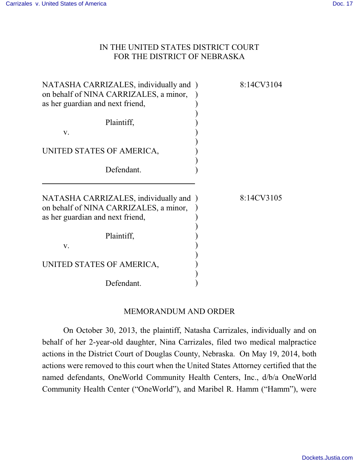## IN THE UNITED STATES DISTRICT COURT FOR THE DISTRICT OF NEBRASKA

| NATASHA CARRIZALES, individually and )<br>on behalf of NINA CARRIZALES, a minor,<br>as her guardian and next friend, | 8:14CV3104 |
|----------------------------------------------------------------------------------------------------------------------|------------|
| Plaintiff,<br>V.                                                                                                     |            |
| UNITED STATES OF AMERICA,                                                                                            |            |
| Defendant.                                                                                                           |            |
| NATASHA CARRIZALES, individually and )<br>on behalf of NINA CARRIZALES, a minor,<br>as her guardian and next friend, | 8:14CV3105 |
| Plaintiff,<br>V.                                                                                                     |            |
| UNITED STATES OF AMERICA,                                                                                            |            |
| Defendant.                                                                                                           |            |

## MEMORANDUM AND ORDER

On October 30, 2013, the plaintiff, Natasha Carrizales, individually and on behalf of her 2-year-old daughter, Nina Carrizales, filed two medical malpractice actions in the District Court of Douglas County, Nebraska. On May 19, 2014, both actions were removed to this court when the United States Attorney certified that the named defendants, OneWorld Community Health Centers, Inc., d/b/a OneWorld Community Health Center ("OneWorld"), and Maribel R. Hamm ("Hamm"), were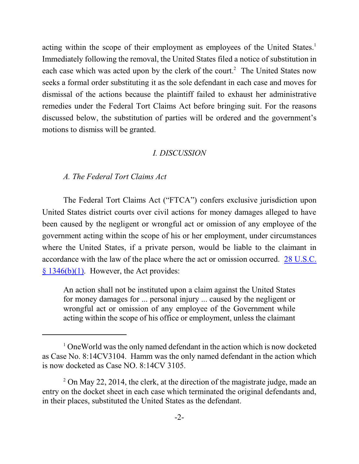acting within the scope of their employment as employees of the United States.<sup>1</sup> Immediately following the removal, the United States filed a notice of substitution in each case which was acted upon by the clerk of the court.<sup>2</sup> The United States now seeks a formal order substituting it as the sole defendant in each case and moves for dismissal of the actions because the plaintiff failed to exhaust her administrative remedies under the Federal Tort Claims Act before bringing suit. For the reasons discussed below, the substitution of parties will be ordered and the government's motions to dismiss will be granted.

#### *I. DISCUSSION*

### *A. The Federal Tort Claims Act*

The Federal Tort Claims Act ("FTCA") confers exclusive jurisdiction upon United States district courts over civil actions for money damages alleged to have been caused by the negligent or wrongful act or omission of any employee of the government acting within the scope of his or her employment, under circumstances where the United States, if a private person, would be liable to the claimant in accordance with the law of the place where the act or omission occurred. [28 U.S.C.](https://web2.westlaw.com/find/default.wl?cite=28+U.S.C.+%c2%a7+1346&rs=WLW14.07&vr=2.0&rp=%2ffind%2fdefault.wl&sv=Split&fn=_top&mt=Westlaw)  $§ 1346(b)(1)$ . However, the Act provides:

An action shall not be instituted upon a claim against the United States for money damages for ... personal injury ... caused by the negligent or wrongful act or omission of any employee of the Government while acting within the scope of his office or employment, unless the claimant

<sup>&</sup>lt;sup>1</sup> OneWorld was the only named defendant in the action which is now docketed as Case No. 8:14CV3104. Hamm was the only named defendant in the action which is now docketed as Case NO. 8:14CV 3105.

 $2$  On May 22, 2014, the clerk, at the direction of the magistrate judge, made an entry on the docket sheet in each case which terminated the original defendants and, in their places, substituted the United States as the defendant.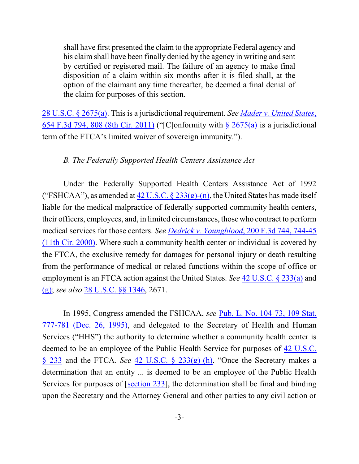shall have first presented the claim to the appropriate Federal agency and his claim shall have been finally denied by the agency in writing and sent by certified or registered mail. The failure of an agency to make final disposition of a claim within six months after it is filed shall, at the option of the claimant any time thereafter, be deemed a final denial of the claim for purposes of this section.

[28 U.S.C. § 2675\(a\)](https://web2.westlaw.com/find/default.wl?cite=28+U.S.C.+%c2%a7+2675(a)&rs=WLW14.07&vr=2.0&rp=%2ffind%2fdefault.wl&sv=Split&fn=_top&mt=Westlaw). This is a jurisdictional requirement. *See Mader v. [United States](https://web2.westlaw.com/find/default.wl?cite=+654+F.3d+808&rs=WLW14.07&vr=2.0&rp=%2ffind%2fdefault.wl&sv=Split&fn=_top&mt=Westlaw)*, [654 F.3d 794, 808 \(8th Cir. 2011\)](https://web2.westlaw.com/find/default.wl?cite=+654+F.3d+808&rs=WLW14.07&vr=2.0&rp=%2ffind%2fdefault.wl&sv=Split&fn=_top&mt=Westlaw) ("[C]onformity with [§ 2675\(a\)](https://web2.westlaw.com/find/default.wl?cite=28+U.S.C.+%c2%a7+2675(a)&rs=WLW14.07&vr=2.0&rp=%2ffind%2fdefault.wl&sv=Split&fn=_top&mt=Westlaw) is a jurisdictional term of the FTCA's limited waiver of sovereign immunity.").

#### *B. The Federally Supported Health Centers Assistance Act*

Under the Federally Supported Health Centers Assistance Act of 1992 ("FSHCAA"), as amended at  $42 \text{ U.S.C.}$  §  $233(g)-(n)$ , the United States has made itself liable for the medical malpractice of federally supported community health centers, their officers, employees, and, in limited circumstances, those who contract to perform medical services for those centers. *See Dedrick v. Youngblood*[, 200 F.3d 744, 744-45](https://web2.westlaw.com/find/default.wl?cite=200+F.3d+744&rs=WLW14.07&vr=2.0&rp=%2ffind%2fdefault.wl&sv=Split&fn=_top&mt=Westlaw) [\(11th Cir. 2000\)](https://web2.westlaw.com/find/default.wl?cite=200+F.3d+744&rs=WLW14.07&vr=2.0&rp=%2ffind%2fdefault.wl&sv=Split&fn=_top&mt=Westlaw). Where such a community health center or individual is covered by the FTCA, the exclusive remedy for damages for personal injury or death resulting from the performance of medical or related functions within the scope of office or employment is an FTCA action against the United States. *See* [42 U.S.C. § 233\(a\)](https://web2.westlaw.com/find/default.wl?cite=42+U.S.C.+%c2%a7+233(g)&rs=WLW14.07&vr=2.0&rp=%2ffind%2fdefault.wl&sv=Split&fn=_top&mt=Westlaw) and [\(g\)](https://web2.westlaw.com/find/default.wl?cite=42+U.S.C.+%c2%a7+233(g)&rs=WLW14.07&vr=2.0&rp=%2ffind%2fdefault.wl&sv=Split&fn=_top&mt=Westlaw); *see also* [28 U.S.C. §§ 1346](https://web2.westlaw.com/find/default.wl?cite=28+U.S.C.+%c2%a7+1346&rs=WLW14.07&vr=2.0&rp=%2ffind%2fdefault.wl&sv=Split&fn=_top&mt=Westlaw), 2671.

In 1995, Congress amended the FSHCAA, *see* [Pub. L. No. 104-73, 109 Stat.](https://web2.westlaw.com/find/default.wl?cite=Pub.+L.+No.+104-73&rs=WLW14.07&vr=2.0&rp=%2ffind%2fdefault.wl&sv=Split&fn=_top&mt=Westlaw) [777-781 \(Dec.](https://web2.westlaw.com/find/default.wl?cite=Pub.+L.+No.+104-73&rs=WLW14.07&vr=2.0&rp=%2ffind%2fdefault.wl&sv=Split&fn=_top&mt=Westlaw) 26, 1995), and delegated to the Secretary of Health and Human Services ("HHS") the authority to determine whether a community health center is deemed to be an employee of the Public Health Service for purposes of [42 U.S.C.](https://web2.westlaw.com/find/default.wl?cite=42+U.S.C.+%c2%a7+233(g)&rs=WLW14.07&vr=2.0&rp=%2ffind%2fdefault.wl&sv=Split&fn=_top&mt=Westlaw) § [233](https://web2.westlaw.com/find/default.wl?cite=42+U.S.C.+%c2%a7+233(g)&rs=WLW14.07&vr=2.0&rp=%2ffind%2fdefault.wl&sv=Split&fn=_top&mt=Westlaw) and the FTCA. *See* [42 U.S.C. § 233\(g\)-\(h\)](https://web2.westlaw.com/find/default.wl?cite=42+U.S.C.+%c2%a7+233(g)&rs=WLW14.07&vr=2.0&rp=%2ffind%2fdefault.wl&sv=Split&fn=_top&mt=Westlaw). "Once the Secretary makes a determination that an entity ... is deemed to be an employee of the Public Health Services for purposes of [\[section 233](https://web2.westlaw.com/find/default.wl?cite=42+U.S.C.+%c2%a7+233(g)&rs=WLW14.07&vr=2.0&rp=%2ffind%2fdefault.wl&sv=Split&fn=_top&mt=Westlaw)], the determination shall be final and binding upon the Secretary and the Attorney General and other parties to any civil action or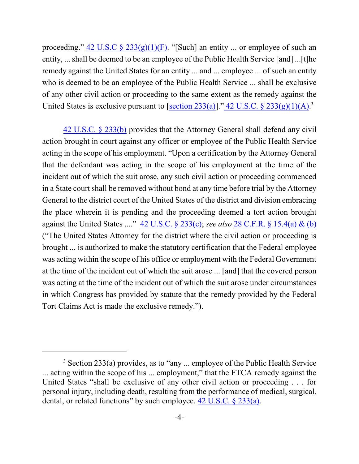proceeding."  $42 \text{ U.S.C } \frac{6}{9} \frac{233(g)(1)(F)}{F}$ . "[Such] an entity ... or employee of such an entity, ... shall be deemed to be an employee of the Public Health Service [and] ...[t]he remedy against the United States for an entity ... and ... employee ... of such an entity who is deemed to be an employee of the Public Health Service ... shall be exclusive of any other civil action or proceeding to the same extent as the remedy against the United States is exclusive pursuant to  $[section 233(a)]$  $[section 233(a)]$ ."  $42$  U.S.C. §  $233(g)(1)(A)$ .<sup>3</sup>

[42 U.S.C.](https://web2.westlaw.com/find/default.wl?cite=42+U.S.C.+%c2%a7+233(g)&rs=WLW14.07&vr=2.0&rp=%2ffind%2fdefault.wl&sv=Split&fn=_top&mt=Westlaw) § 233(b) provides that the Attorney General shall defend any civil action brought in court against any officer or employee of the Public Health Service acting in the scope of his employment. "Upon a certification by the Attorney General that the defendant was acting in the scope of his employment at the time of the incident out of which the suit arose, any such civil action or proceeding commenced in a State court shall be removed without bond at any time before trial by the Attorney General to the district court of the United States of the district and division embracing the place wherein it is pending and the proceeding deemed a tort action brought against the United States ...." [42 U.S.C. § 233\(c\)](https://web2.westlaw.com/find/default.wl?cite=42+U.S.C.+%c2%a7+233(g)&rs=WLW14.07&vr=2.0&rp=%2ffind%2fdefault.wl&sv=Split&fn=_top&mt=Westlaw); *see also* [28 C.F.R. § 15.4\(a\) &](https://web2.westlaw.com/find/default.wl?cite=28+C.F.R.+%c2%a7+15.4&rs=WLW14.07&vr=2.0&rp=%2ffind%2fdefault.wl&sv=Split&fn=_top&mt=Westlaw) (b) ("The United States Attorney for the district where the civil action or proceeding is brought ... is authorized to make the statutory certification that the Federal employee was acting within the scope of his office or employment with the Federal Government at the time of the incident out of which the suit arose ... [and] that the covered person was acting at the time of the incident out of which the suit arose under circumstances in which Congress has provided by statute that the remedy provided by the Federal Tort Claims Act is made the exclusive remedy.").

<sup>3</sup> Section 233(a) provides, as to "any ... employee of the Public Health Service ... acting within the scope of his ... employment," that the FTCA remedy against the United States "shall be exclusive of any other civil action or proceeding . . . for personal injury, including death, resulting from the performance of medical, surgical, dental, or related functions" by such employee. [42 U.S.C. § 233\(a\)](https://web2.westlaw.com/find/default.wl?cite=42+U.S.C.+%c2%a7+233(g)&rs=WLW14.07&vr=2.0&rp=%2ffind%2fdefault.wl&sv=Split&fn=_top&mt=Westlaw).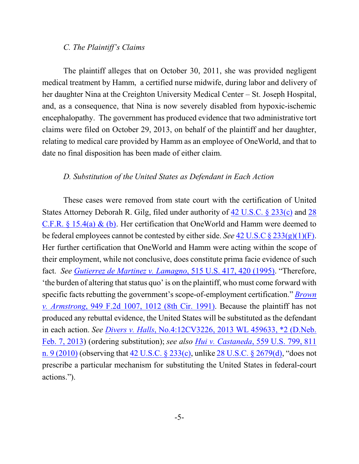#### *C. The Plaintiff's Claims*

The plaintiff alleges that on October 30, 2011, she was provided negligent medical treatment by Hamm, a certified nurse midwife, during labor and delivery of her daughter Nina at the Creighton University Medical Center – St. Joseph Hospital, and, as a consequence, that Nina is now severely disabled from hypoxic-ischemic encephalopathy. The government has produced evidence that two administrative tort claims were filed on October 29, 2013, on behalf of the plaintiff and her daughter, relating to medical care provided by Hamm as an employee of OneWorld, and that to date no final disposition has been made of either claim.

## *D. Substitution of the United States as Defendant in Each Action*

These cases were removed from state court with the certification of United States Attorney Deborah R. Gilg, filed under authority of [42 U.S.C. § 233\(c\)](https://web2.westlaw.com/find/default.wl?cite=42+U.S.C.+%c2%a7+233(g)&rs=WLW14.07&vr=2.0&rp=%2ffind%2fdefault.wl&sv=Split&fn=_top&mt=Westlaw) and [28](https://web2.westlaw.com/find/default.wl?cite=28+C.F.R.+%c2%a7+15.4&rs=WLW14.07&vr=2.0&rp=%2ffind%2fdefault.wl&sv=Split&fn=_top&mt=Westlaw) [C.F.R. § 15.4\(a\)](https://web2.westlaw.com/find/default.wl?cite=28+C.F.R.+%c2%a7+15.4&rs=WLW14.07&vr=2.0&rp=%2ffind%2fdefault.wl&sv=Split&fn=_top&mt=Westlaw) & (b). Her certification that OneWorld and Hamm were deemed to be federal employees cannot be contested by either side. *See* 42 U.S.C [§ 233\(g\)\(1\)\(F\)](https://web2.westlaw.com/find/default.wl?cite=42+U.S.C.+%c2%a7+233(g)&rs=WLW14.07&vr=2.0&rp=%2ffind%2fdefault.wl&sv=Split&fn=_top&mt=Westlaw). Her further certification that OneWorld and Hamm were acting within the scope of their employment, while not conclusive, does constitute prima facie evidence of such fact. *See [Gutierrez de Martinez v. Lamagno](https://web2.westlaw.com/find/default.wl?cite=515+U.S.+420+&rs=WLW14.07&vr=2.0&rp=%2ffind%2fdefault.wl&sv=Split&fn=_top&mt=Westlaw)*, 515 U.S. 417, 420 (1995). "Therefore, 'the burden of altering that status quo' is on the plaintiff, who must come forward with specific facts rebutting the government's scope-of-employment certification." *[Brown](https://web2.westlaw.com/find/default.wl?cite=949+F.2d+1012+&rs=WLW14.07&vr=2.0&rp=%2ffind%2fdefault.wl&sv=Split&fn=_top&mt=Westlaw) v. Armstrong*[, 949 F.2d 1007, 1012 \(8th Cir. 1991\)](https://web2.westlaw.com/find/default.wl?cite=949+F.2d+1012+&rs=WLW14.07&vr=2.0&rp=%2ffind%2fdefault.wl&sv=Split&fn=_top&mt=Westlaw). Because the plaintiff has not produced any rebuttal evidence, the United States will be substituted as the defendant in each action. *See Divers v. Halls*[, No.4:12CV3226, 2013 WL 459633, \\*2 \(D.Neb.](https://web2.westlaw.com/find/default.wl?cite=2013+WL+459633&rs=WLW14.07&vr=2.0&rp=%2ffind%2fdefault.wl&sv=Split&fn=_top&mt=Westlaw) [Feb. 7, 2013](https://web2.westlaw.com/find/default.wl?cite=2013+WL+459633&rs=WLW14.07&vr=2.0&rp=%2ffind%2fdefault.wl&sv=Split&fn=_top&mt=Westlaw)) (ordering substitution); *see also Hui v. Castaneda*[, 559 U.S. 799, 811](https://web2.westlaw.com/find/default.wl?cite=559+U.S.+811+&rs=WLW14.07&vr=2.0&rp=%2ffind%2fdefault.wl&sv=Split&fn=_top&mt=Westlaw) [n. 9 \(2010\)](https://web2.westlaw.com/find/default.wl?cite=559+U.S.+811+&rs=WLW14.07&vr=2.0&rp=%2ffind%2fdefault.wl&sv=Split&fn=_top&mt=Westlaw) (observing that [42 U.S.C. § 233\(c\)](https://web2.westlaw.com/find/default.wl?cite=42+U.S.C.+%c2%a7+233(g)&rs=WLW14.07&vr=2.0&rp=%2ffind%2fdefault.wl&sv=Split&fn=_top&mt=Westlaw), unlike [28 U.S.C. § 2679\(d\)](file:///|//https///web2.westlaw.com/find/default.wl?mt=Westlaw&db=1000546&docname=28USCAS2679&rp=%2ffind%2fdefault.wl&findtype=L&ordoc=2021891070&tc=-1&vr=2.0&fn=_top&sv=Split&tf=-1&referencepositiontype=T&pbc=EC3B2DF5&referenceposition=SP%3b5ba1000067d06&rs=WLW14.07), "does not prescribe a particular mechanism for substituting the United States in federal-court actions.").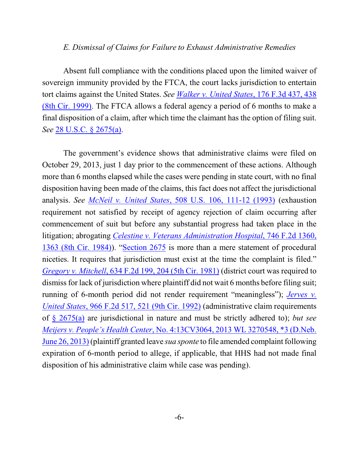#### *E. Dismissal of Claims for Failure to Exhaust Administrative Remedies*

Absent full compliance with the conditions placed upon the limited waiver of sovereign immunity provided by the FTCA, the court lacks jurisdiction to entertain tort claims against the United States. *See [Walker v. United States](https://web2.westlaw.com/find/default.wl?cite=176+F.3d+438+&rs=WLW14.07&vr=2.0&rp=%2ffind%2fdefault.wl&sv=Split&fn=_top&mt=Westlaw)*, 176 F.3d 437, 438 [\(8th Cir. 1999\)](https://web2.westlaw.com/find/default.wl?cite=176+F.3d+438+&rs=WLW14.07&vr=2.0&rp=%2ffind%2fdefault.wl&sv=Split&fn=_top&mt=Westlaw). The FTCA allows a federal agency a period of 6 months to make a final disposition of a claim, after which time the claimant has the option of filing suit. *See* [28 U.S.C. § 2675\(a\)](https://web2.westlaw.com/find/default.wl?cite=28+U.S.C.+%c2%a7+2675(a)&rs=WLW14.07&vr=2.0&rp=%2ffind%2fdefault.wl&sv=Split&fn=_top&mt=Westlaw).

The government's evidence shows that administrative claims were filed on October 29, 2013, just 1 day prior to the commencement of these actions. Although more than 6 months elapsed while the cases were pending in state court, with no final disposition having been made of the claims, this fact does not affect the jurisdictional analysis. *See [McNeil v. United States](https://web2.westlaw.com/find/default.wl?cite=508+U.S.+106+&rs=WLW14.07&vr=2.0&rp=%2ffind%2fdefault.wl&sv=Split&fn=_top&mt=Westlaw)*, 508 U.S. 106, 111-12 (1993) (exhaustion requirement not satisfied by receipt of agency rejection of claim occurring after commencement of suit but before any substantial progress had taken place in the litigation; abrogating *Celestine [v. Veterans Administration Hospital](https://web2.westlaw.com/find/default.wl?mt=Westlaw&db=350&tc=-1&rp=%2ffind%2fdefault.wl&findtype=Y&ordoc=1993105335&serialnum=1984150270&vr=2.0&fn=_top&sv=Split&tf=-1&referencepositiontype=S&pbc=95A45CB9&referenceposition=1363&rs=WLW14.07)*, 746 F.2d 1360, [1363 \(8th Cir. 1984\)](https://web2.westlaw.com/find/default.wl?mt=Westlaw&db=350&tc=-1&rp=%2ffind%2fdefault.wl&findtype=Y&ordoc=1993105335&serialnum=1984150270&vr=2.0&fn=_top&sv=Split&tf=-1&referencepositiontype=S&pbc=95A45CB9&referenceposition=1363&rs=WLW14.07)). ["Section 2675](https://web2.westlaw.com/find/default.wl?cite=28+U.S.C.+%c2%a7+2675(a)&rs=WLW14.07&vr=2.0&rp=%2ffind%2fdefault.wl&sv=Split&fn=_top&mt=Westlaw) is more than a mere statement of procedural niceties. It requires that jurisdiction must exist at the time the complaint is filed." *Gregory v. Mitchell*[, 634 F.2d 199, 204 \(5th Cir. 1981\)](https://web2.westlaw.com/find/default.wl?cite=634+F.2d+204+&rs=WLW14.07&vr=2.0&rp=%2ffind%2fdefault.wl&sv=Split&fn=_top&mt=Westlaw) (district court was required to dismiss for lack of jurisdiction where plaintiff did not wait 6 months before filing suit; running of 6-month period did not render requirement "meaningless"); *[Jerves v.](https://web2.westlaw.com/find/default.wl?cite=966+F.2d+517&rs=WLW14.07&vr=2.0&rp=%2ffind%2fdefault.wl&sv=Split&fn=_top&mt=Westlaw) United States*[, 966 F.2d 517, 521 \(9th Cir. 1992\)](https://web2.westlaw.com/find/default.wl?cite=966+F.2d+517&rs=WLW14.07&vr=2.0&rp=%2ffind%2fdefault.wl&sv=Split&fn=_top&mt=Westlaw) (administrative claim requirements of [§ 2675\(a\)](https://web2.westlaw.com/find/default.wl?cite=28+U.S.C.+%c2%a7+2675(a)&rs=WLW14.07&vr=2.0&rp=%2ffind%2fdefault.wl&sv=Split&fn=_top&mt=Westlaw) are jurisdictional in nature and must be strictly adhered to); *but see Meijers v. People's Health Center*[, No. 4:13CV3064, 2013 WL 3270548, \\*3 \(D.Neb.](https://web2.westlaw.com/find/default.wl?cite=2013+WL+3270548&rs=WLW14.07&vr=2.0&rp=%2ffind%2fdefault.wl&sv=Split&fn=_top&mt=Westlaw) June [26, 2013\)](https://web2.westlaw.com/find/default.wl?cite=2013+WL+3270548&rs=WLW14.07&vr=2.0&rp=%2ffind%2fdefault.wl&sv=Split&fn=_top&mt=Westlaw)(plaintiff granted leave *sua sponte* to file amended complaint following expiration of 6-month period to allege, if applicable, that HHS had not made final disposition of his administrative claim while case was pending).